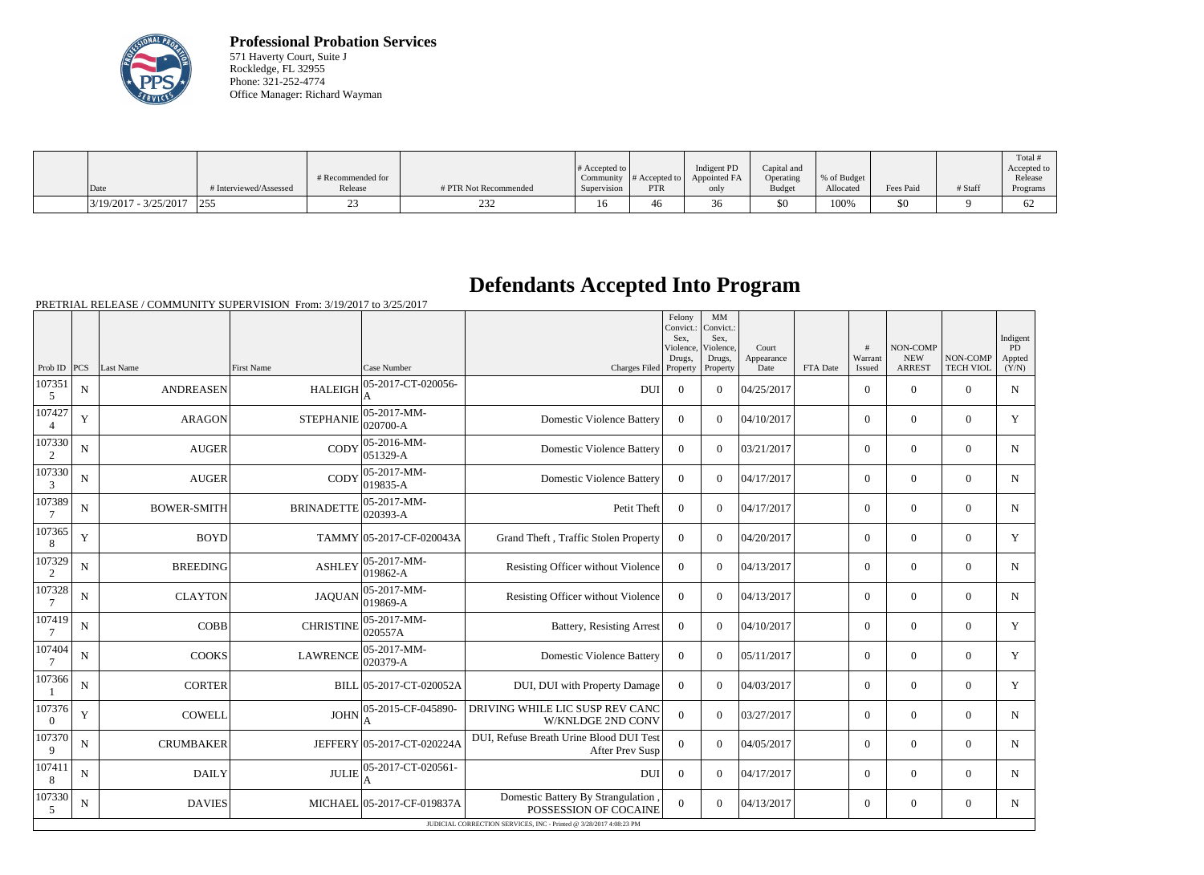

**Professional Probation Services** 571 Haverty Court, Suite J Rockledge, FL 32955 Phone: 321-252-4774 Office Manager: Richard Wayman

| Date                    | # Interviewed/Assessed | # Recommended for<br>Release | # PTR Not Recommended | $\#$ Accepted to<br>Supervision | $\sim$ Community   # Accepted to  <br><b>PTR</b> | Indigent PD<br>Appointed FA<br>only | Capital and<br>Operating<br>Budget | % of Budget<br>Allocated | Fees Paid | # Staff | Total<br>Accepted to<br>Release<br>Programs |
|-------------------------|------------------------|------------------------------|-----------------------|---------------------------------|--------------------------------------------------|-------------------------------------|------------------------------------|--------------------------|-----------|---------|---------------------------------------------|
|                         |                        |                              |                       |                                 |                                                  |                                     |                                    |                          |           |         |                                             |
| $3/19/2017 - 3/25/2017$ | $ 25\rangle$           |                              | ∠ں∠                   |                                 | 46                                               | υU                                  | \$0                                | 100%                     | \$0       |         | -62                                         |

## **Defendants Accepted Into Program**

|                    |             |                    |                   |                                |                                                                    | Felony<br>Convict.:<br>Sex.<br>Violence.<br>Drugs. | MM<br>Convict.:<br>Sex.<br>Violence,<br>Drugs, | Court<br>Appearance |          | #<br>Warrant   | NON-COMP<br><b>NEW</b> | NON-COMP         | Indigent<br>PD<br>Appted |
|--------------------|-------------|--------------------|-------------------|--------------------------------|--------------------------------------------------------------------|----------------------------------------------------|------------------------------------------------|---------------------|----------|----------------|------------------------|------------------|--------------------------|
| Prob ID $ PCS $    |             | Last Name          | <b>First Name</b> | Case Number                    | Charges Filed Property                                             |                                                    | Property                                       | Date                | FTA Date | Issued         | <b>ARREST</b>          | <b>TECH VIOL</b> | (Y/N)                    |
| 107351<br>5        | N           | <b>ANDREASEN</b>   | <b>HALEIGH</b>    | 05-2017-CT-020056-             | <b>DUI</b>                                                         | $\boldsymbol{0}$                                   | $\Omega$                                       | 04/25/2017          |          | $\overline{0}$ | $\theta$               | $\Omega$         | $\mathbf N$              |
| 107427             | $\mathbf Y$ | <b>ARAGON</b>      | <b>STEPHANIE</b>  | 05-2017-MM-<br>020700-A        | <b>Domestic Violence Battery</b>                                   | $\overline{0}$                                     | $\Omega$                                       | 04/10/2017          |          | $\overline{0}$ | $\theta$               | $\overline{0}$   | Y                        |
| 107330             | $\mathbf N$ | <b>AUGER</b>       | CODY              | $05-2016-MM$ -<br>$051329-A$   | <b>Domestic Violence Battery</b>                                   | $\overline{0}$                                     | $\Omega$                                       | 03/21/2017          |          | $\overline{0}$ | $\mathbf{0}$           | $\overline{0}$   | $\mathbf N$              |
| 107330<br>3        | $\mathbf N$ | <b>AUGER</b>       | <b>CODY</b>       | 05-2017-MM-<br>$019835 - A$    | <b>Domestic Violence Battery</b>                                   | $\overline{0}$                                     | $\Omega$                                       | 04/17/2017          |          | $\overline{0}$ | $\mathbf{0}$           | $\overline{0}$   | $\mathbf N$              |
| 107389             | N           | <b>BOWER-SMITH</b> | <b>BRINADETTE</b> | 05-2017-MM-<br>020393-A        | Petit Theft                                                        | $\overline{0}$                                     | $\Omega$                                       | 04/17/2017          |          | $\overline{0}$ | $\mathbf{0}$           | $\Omega$         | $\mathbf N$              |
| 107365<br>8        | $\mathbf Y$ | <b>BOYD</b>        |                   | TAMMY 05-2017-CF-020043A       | Grand Theft, Traffic Stolen Property                               | $\mathbf{0}$                                       | $\Omega$                                       | 04/20/2017          |          | $\overline{0}$ | $\theta$               | $\overline{0}$   | Y                        |
| 107329<br>2        | $\mathbf N$ | <b>BREEDING</b>    | <b>ASHLEY</b>     | $05-2017-MM$ -<br>$019862 - A$ | Resisting Officer without Violence                                 | $\overline{0}$                                     | $\Omega$                                       | 04/13/2017          |          | $\overline{0}$ | $\theta$               | $\overline{0}$   | $\mathbf N$              |
| 107328             | $\mathbf N$ | <b>CLAYTON</b>     | <b>JAQUAN</b>     | $ 05-2017-MM-$<br>019869-A     | Resisting Officer without Violence                                 | $\mathbf{0}$                                       | $\Omega$                                       | 04/13/2017          |          | $\overline{0}$ | $\theta$               | $\overline{0}$   | $\mathbf N$              |
| 107419             | ${\bf N}$   | <b>COBB</b>        | <b>CHRISTINE</b>  | $05-2017-MM$ -<br>020557A      | <b>Battery, Resisting Arrest</b>                                   | $\overline{0}$                                     | $\Omega$                                       | 04/10/2017          |          | $\overline{0}$ | $\Omega$               | $\Omega$         | Y                        |
| 107404             | N           | <b>COOKS</b>       | <b>LAWRENCE</b>   | 05-2017-MM-<br>$020379-A$      | <b>Domestic Violence Battery</b>                                   | $\theta$                                           | $\Omega$                                       | 05/11/2017          |          | $\overline{0}$ | $\mathbf{0}$           | $\overline{0}$   | Y                        |
| 107366             | $\mathbf N$ | <b>CORTER</b>      |                   | BILL 05-2017-CT-020052A        | DUI, DUI with Property Damage                                      | $\theta$                                           | $\Omega$                                       | 04/03/2017          |          | $\overline{0}$ | $\mathbf{0}$           | $\overline{0}$   | Y                        |
| 107376<br>$\Omega$ | $\mathbf Y$ | <b>COWELL</b>      | <b>JOHN</b>       | 05-2015-CF-045890-             | DRIVING WHILE LIC SUSP REV CANC<br><b>W/KNLDGE 2ND CONV</b>        | $\overline{0}$                                     | $\Omega$                                       | 03/27/2017          |          | $\overline{0}$ | $\theta$               | $\overline{0}$   | $\mathbf N$              |
| 107370<br>9        | $\mathbf N$ | <b>CRUMBAKER</b>   |                   | JEFFERY 05-2017-CT-020224A     | DUI, Refuse Breath Urine Blood DUI Test<br>After Prev Susp         | $\overline{0}$                                     | $\Omega$                                       | 04/05/2017          |          | $\overline{0}$ | $\theta$               | $\Omega$         | N                        |
| 107411<br>8        | N           | <b>DAILY</b>       | <b>JULIE</b>      | 05-2017-CT-020561-             | DUI                                                                | $\overline{0}$                                     | $\Omega$                                       | 04/17/2017          |          | $\overline{0}$ | $\theta$               | $\overline{0}$   | N                        |
| 107330<br>5        | N           | <b>DAVIES</b>      |                   | MICHAEL 05-2017-CF-019837A     | Domestic Battery By Strangulation<br>POSSESSION OF COCAINE         | $\overline{0}$                                     | $\Omega$                                       | 04/13/2017          |          | $\overline{0}$ | $\boldsymbol{0}$       | $\Omega$         | $\mathbf N$              |
|                    |             |                    |                   |                                | JUDICIAL CORRECTION SERVICES, INC - Printed @ 3/28/2017 4:08:23 PM |                                                    |                                                |                     |          |                |                        |                  |                          |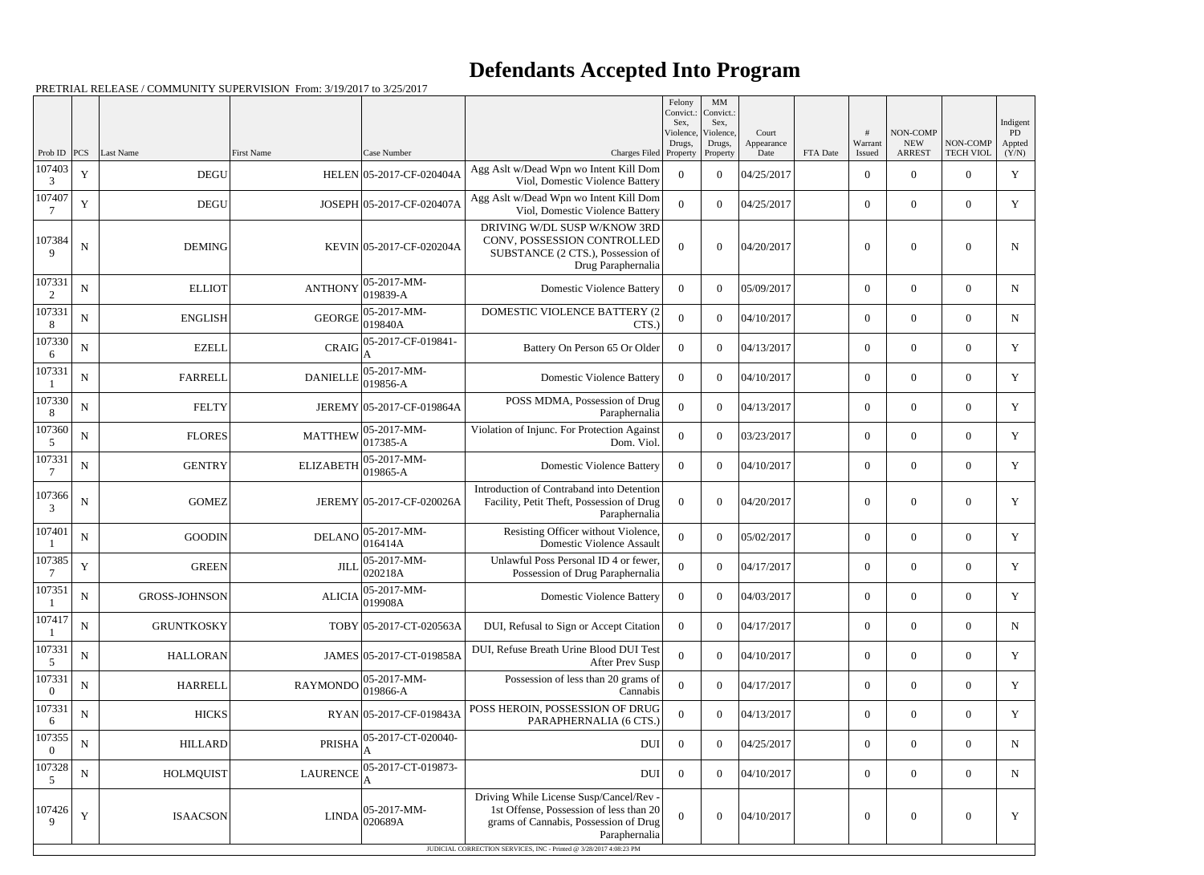## **Defendants Accepted Into Program**

| NON-COMP<br>Violence,<br>Violence,<br>Court<br><b>NEW</b><br>NON-COMP<br>Drugs,<br>Warrant<br>Drugs,<br>Appearance<br>PCS<br>Last Name<br>First Name<br>Case Number<br><b>ARREST</b><br><b>TECH VIOL</b><br>Charges Filed Property<br>Property<br>Date<br><b>FTA</b> Date<br>Issued<br>Prob ID<br>107403<br>Agg Aslt w/Dead Wpn wo Intent Kill Dom<br>$\mathbf Y$<br><b>DEGU</b><br>HELEN 05-2017-CF-020404A<br>04/25/2017<br>$\Omega$<br>$\Omega$<br>$\overline{0}$<br>$\theta$<br>$\overline{0}$<br>Viol, Domestic Violence Battery<br>3<br>107407<br>Agg Aslt w/Dead Wpn wo Intent Kill Dom<br>Y<br><b>DEGU</b><br>JOSEPH 05-2017-CF-020407A<br>$\theta$<br>04/25/2017<br>$\overline{0}$<br>$\overline{0}$<br>$\Omega$<br>$\overline{0}$<br>Viol, Domestic Violence Battery<br>DRIVING W/DL SUSP W/KNOW 3RD<br>107384<br>CONV, POSSESSION CONTROLLED<br>$\mathbf N$<br><b>DEMING</b><br>$\theta$<br>04/20/2017<br>$\overline{0}$<br>KEVIN 05-2017-CF-020204A<br>$\overline{0}$<br>$\theta$<br>$\Omega$<br>$\mathbf{Q}$<br>SUBSTANCE (2 CTS.), Possession of<br>Drug Paraphernalia<br>107331<br>05-2017-MM-<br><b>ANTHONY</b><br>$\mathbf N$<br><b>ELLIOT</b><br><b>Domestic Violence Battery</b><br>05/09/2017<br>$\overline{0}$<br>$\overline{0}$<br>$\overline{0}$<br>$\overline{0}$<br>$\Omega$<br>019839-A<br>2<br>107331<br>05-2017-MM-<br><b>DOMESTIC VIOLENCE BATTERY (2</b><br>${\bf N}$<br><b>GEORGE</b><br><b>ENGLISH</b><br>$\overline{0}$<br>$\boldsymbol{0}$<br>04/10/2017<br>$\boldsymbol{0}$<br>$\overline{0}$<br>$\overline{0}$<br>019840A<br>CTS.)<br>8<br>107330<br>05-2017-CF-019841-<br><b>CRAIG</b><br><b>EZELL</b><br>$\theta$<br>04/13/2017<br>N<br>Battery On Person 65 Or Older<br>$\Omega$<br>$\overline{0}$<br>$\overline{0}$<br>$\overline{0}$<br>6<br>107331<br>05-2017-MM-<br>${\bf N}$<br><b>FARRELL</b><br><b>Domestic Violence Battery</b><br>$\theta$<br>04/10/2017<br>$\boldsymbol{0}$<br>$\overline{0}$<br><b>DANIELLE</b><br>$\overline{0}$<br>$\overline{0}$<br>019856-A<br>107330<br>POSS MDMA, Possession of Drug<br><b>FELTY</b><br>JEREMY 05-2017-CF-019864A<br>04/13/2017<br>$\mathbf N$<br>$\overline{0}$<br>$\overline{0}$<br>$\overline{0}$<br>$\overline{0}$<br>$\overline{0}$<br>Paraphernalia<br>8<br>107360<br>05-2017-MM-<br>Violation of Injunc. For Protection Against<br>${\bf N}$<br><b>FLORES</b><br><b>MATTHEW</b><br>$\theta$<br>03/23/2017<br>$\overline{0}$<br>$\Omega$<br>$\boldsymbol{0}$<br>$\overline{0}$<br>$017385 - A$<br>Dom. Viol.<br>5<br>107331<br>05-2017-MM-<br><b>ELIZABETH</b><br><b>GENTRY</b><br><b>Domestic Violence Battery</b><br>04/10/2017<br>N<br>$\theta$<br>$\overline{0}$<br>$\overline{0}$<br>$\overline{0}$<br>$\Omega$<br>$019865 - A$<br>Introduction of Contraband into Detention<br>107366<br>$\mathbf N$<br><b>GOMEZ</b><br>JEREMY 05-2017-CF-020026A<br>$\overline{0}$<br>04/20/2017<br>$\overline{0}$<br>Facility, Petit Theft, Possession of Drug<br>$\overline{0}$<br>$\boldsymbol{0}$<br>$\overline{0}$<br>3<br>Paraphernalia<br>107401<br>Resisting Officer without Violence,<br>$05-2017-MM$ -<br><b>DELANO</b><br>${\bf N}$<br><b>GOODIN</b><br>05/02/2017<br>$\boldsymbol{0}$<br>$\overline{0}$<br>$\Omega$<br>$\theta$<br>$\overline{0}$<br>016414A<br><b>Domestic Violence Assault</b><br>107385<br>05-2017-MM-<br>Unlawful Poss Personal ID 4 or fewer,<br>$\mathbf Y$<br><b>GREEN</b><br>$\theta$<br>04/17/2017<br>$\overline{0}$<br><b>JILL</b><br>$\Omega$<br>$\boldsymbol{0}$<br>$\overline{0}$<br>020218A<br>Possession of Drug Paraphernalia<br>107351<br>$ 05-2017-MM-$<br>$\mathbf N$<br><b>ALICIA</b><br>04/03/2017<br><b>GROSS-JOHNSON</b><br><b>Domestic Violence Battery</b><br>$\boldsymbol{0}$<br>$\boldsymbol{0}$<br>$\boldsymbol{0}$<br>$\boldsymbol{0}$<br>$\overline{0}$<br>019908A<br>107417<br>${\bf N}$<br><b>GRUNTKOSKY</b><br>TOBY 05-2017-CT-020563A<br>DUI, Refusal to Sign or Accept Citation<br>$\boldsymbol{0}$<br>04/17/2017<br>$\boldsymbol{0}$<br>$\overline{0}$<br>$\overline{0}$<br>$\overline{0}$<br>107331<br>DUI, Refuse Breath Urine Blood DUI Test<br>${\bf N}$<br><b>HALLORAN</b><br>JAMES 05-2017-CT-019858A<br>$\boldsymbol{0}$<br>04/10/2017<br>$\overline{0}$<br>$\theta$<br>$\overline{0}$<br>$\overline{0}$<br>5<br><b>After Prev Susp</b><br>107331<br>05-2017-MM-<br>Possession of less than 20 grams of<br>${\bf N}$<br>RAYMONDO<br><b>HARRELL</b><br>$\mathbf{0}$<br>$\boldsymbol{0}$<br>04/17/2017<br>$\boldsymbol{0}$<br>$\overline{0}$<br>$\overline{0}$<br>$\boldsymbol{0}$<br>019866-A<br>Cannabis<br>107331<br>POSS HEROIN, POSSESSION OF DRUG<br><b>HICKS</b><br>${\bf N}$<br>RYAN 05-2017-CF-019843A<br>04/13/2017<br>$\overline{0}$<br>$\overline{0}$<br>$\overline{0}$<br>$\overline{0}$<br>$\overline{0}$<br>PARAPHERNALIA (6 CTS.)<br>6<br>107355<br>05-2017-CT-020040-<br>${\bf N}$<br><b>PRISHA</b><br>$\boldsymbol{0}$<br>04/25/2017<br>$\boldsymbol{0}$<br>$\overline{0}$<br>$\overline{0}$<br><b>HILLARD</b><br><b>DUI</b><br>$\overline{0}$<br>$\overline{0}$<br>107328<br>05-2017-CT-019873-<br><b>LAURENCE</b><br>$\mathbf N$<br><b>HOLMQUIST</b><br>$\boldsymbol{0}$<br>04/10/2017<br><b>DUI</b><br>$\boldsymbol{0}$<br>$\boldsymbol{0}$<br>$\overline{0}$<br>$\bf{0}$<br>5<br>Driving While License Susp/Cancel/Rev -<br>107426<br>1st Offense, Possession of less than 20<br>$ 05-2017-MM-$<br>$\mathbf Y$<br>04/10/2017<br><b>ISAACSON</b><br><b>LINDA</b><br>$\Omega$<br>$\boldsymbol{0}$<br>$\boldsymbol{0}$<br>$\boldsymbol{0}$<br>$\boldsymbol{0}$<br>020689A<br>grams of Cannabis, Possession of Drug<br>9 |  |  |               | Felony<br>Convict.:<br>Sex, | MM<br>Convict.:<br>Sex, |  |  | Indigent     |
|------------------------------------------------------------------------------------------------------------------------------------------------------------------------------------------------------------------------------------------------------------------------------------------------------------------------------------------------------------------------------------------------------------------------------------------------------------------------------------------------------------------------------------------------------------------------------------------------------------------------------------------------------------------------------------------------------------------------------------------------------------------------------------------------------------------------------------------------------------------------------------------------------------------------------------------------------------------------------------------------------------------------------------------------------------------------------------------------------------------------------------------------------------------------------------------------------------------------------------------------------------------------------------------------------------------------------------------------------------------------------------------------------------------------------------------------------------------------------------------------------------------------------------------------------------------------------------------------------------------------------------------------------------------------------------------------------------------------------------------------------------------------------------------------------------------------------------------------------------------------------------------------------------------------------------------------------------------------------------------------------------------------------------------------------------------------------------------------------------------------------------------------------------------------------------------------------------------------------------------------------------------------------------------------------------------------------------------------------------------------------------------------------------------------------------------------------------------------------------------------------------------------------------------------------------------------------------------------------------------------------------------------------------------------------------------------------------------------------------------------------------------------------------------------------------------------------------------------------------------------------------------------------------------------------------------------------------------------------------------------------------------------------------------------------------------------------------------------------------------------------------------------------------------------------------------------------------------------------------------------------------------------------------------------------------------------------------------------------------------------------------------------------------------------------------------------------------------------------------------------------------------------------------------------------------------------------------------------------------------------------------------------------------------------------------------------------------------------------------------------------------------------------------------------------------------------------------------------------------------------------------------------------------------------------------------------------------------------------------------------------------------------------------------------------------------------------------------------------------------------------------------------------------------------------------------------------------------------------------------------------------------------------------------------------------------------------------------------------------------------------------------------------------------------------------------------------------------------------------------------------------------------------------------------------------------------------------------------------------------------------------------------------------------------------------------------------------------------------------------------------------------------------------------------------------------------------------------------------------------------------------------------------------------------------------------------------------------------------------------------------------------------------------------------------------------------------------------------------------------------------------------------------------------------------------------------------------------------------------------------------------------------------------------------------------------------------------------------------------------------------------------------------------------------------------------------------------------------------------------------------------------------------------------------------------------------------------------------------|--|--|---------------|-----------------------------|-------------------------|--|--|--------------|
|                                                                                                                                                                                                                                                                                                                                                                                                                                                                                                                                                                                                                                                                                                                                                                                                                                                                                                                                                                                                                                                                                                                                                                                                                                                                                                                                                                                                                                                                                                                                                                                                                                                                                                                                                                                                                                                                                                                                                                                                                                                                                                                                                                                                                                                                                                                                                                                                                                                                                                                                                                                                                                                                                                                                                                                                                                                                                                                                                                                                                                                                                                                                                                                                                                                                                                                                                                                                                                                                                                                                                                                                                                                                                                                                                                                                                                                                                                                                                                                                                                                                                                                                                                                                                                                                                                                                                                                                                                                                                                                                                                                                                                                                                                                                                                                                                                                                                                                                                                                                                                                                                                                                                                                                                                                                                                                                                                                                                                                                                                                                                                                                      |  |  |               |                             |                         |  |  | PD<br>Appted |
|                                                                                                                                                                                                                                                                                                                                                                                                                                                                                                                                                                                                                                                                                                                                                                                                                                                                                                                                                                                                                                                                                                                                                                                                                                                                                                                                                                                                                                                                                                                                                                                                                                                                                                                                                                                                                                                                                                                                                                                                                                                                                                                                                                                                                                                                                                                                                                                                                                                                                                                                                                                                                                                                                                                                                                                                                                                                                                                                                                                                                                                                                                                                                                                                                                                                                                                                                                                                                                                                                                                                                                                                                                                                                                                                                                                                                                                                                                                                                                                                                                                                                                                                                                                                                                                                                                                                                                                                                                                                                                                                                                                                                                                                                                                                                                                                                                                                                                                                                                                                                                                                                                                                                                                                                                                                                                                                                                                                                                                                                                                                                                                                      |  |  |               |                             |                         |  |  | (Y/N)        |
|                                                                                                                                                                                                                                                                                                                                                                                                                                                                                                                                                                                                                                                                                                                                                                                                                                                                                                                                                                                                                                                                                                                                                                                                                                                                                                                                                                                                                                                                                                                                                                                                                                                                                                                                                                                                                                                                                                                                                                                                                                                                                                                                                                                                                                                                                                                                                                                                                                                                                                                                                                                                                                                                                                                                                                                                                                                                                                                                                                                                                                                                                                                                                                                                                                                                                                                                                                                                                                                                                                                                                                                                                                                                                                                                                                                                                                                                                                                                                                                                                                                                                                                                                                                                                                                                                                                                                                                                                                                                                                                                                                                                                                                                                                                                                                                                                                                                                                                                                                                                                                                                                                                                                                                                                                                                                                                                                                                                                                                                                                                                                                                                      |  |  |               |                             |                         |  |  | Y            |
|                                                                                                                                                                                                                                                                                                                                                                                                                                                                                                                                                                                                                                                                                                                                                                                                                                                                                                                                                                                                                                                                                                                                                                                                                                                                                                                                                                                                                                                                                                                                                                                                                                                                                                                                                                                                                                                                                                                                                                                                                                                                                                                                                                                                                                                                                                                                                                                                                                                                                                                                                                                                                                                                                                                                                                                                                                                                                                                                                                                                                                                                                                                                                                                                                                                                                                                                                                                                                                                                                                                                                                                                                                                                                                                                                                                                                                                                                                                                                                                                                                                                                                                                                                                                                                                                                                                                                                                                                                                                                                                                                                                                                                                                                                                                                                                                                                                                                                                                                                                                                                                                                                                                                                                                                                                                                                                                                                                                                                                                                                                                                                                                      |  |  |               |                             |                         |  |  | Y            |
|                                                                                                                                                                                                                                                                                                                                                                                                                                                                                                                                                                                                                                                                                                                                                                                                                                                                                                                                                                                                                                                                                                                                                                                                                                                                                                                                                                                                                                                                                                                                                                                                                                                                                                                                                                                                                                                                                                                                                                                                                                                                                                                                                                                                                                                                                                                                                                                                                                                                                                                                                                                                                                                                                                                                                                                                                                                                                                                                                                                                                                                                                                                                                                                                                                                                                                                                                                                                                                                                                                                                                                                                                                                                                                                                                                                                                                                                                                                                                                                                                                                                                                                                                                                                                                                                                                                                                                                                                                                                                                                                                                                                                                                                                                                                                                                                                                                                                                                                                                                                                                                                                                                                                                                                                                                                                                                                                                                                                                                                                                                                                                                                      |  |  |               |                             |                         |  |  | N            |
|                                                                                                                                                                                                                                                                                                                                                                                                                                                                                                                                                                                                                                                                                                                                                                                                                                                                                                                                                                                                                                                                                                                                                                                                                                                                                                                                                                                                                                                                                                                                                                                                                                                                                                                                                                                                                                                                                                                                                                                                                                                                                                                                                                                                                                                                                                                                                                                                                                                                                                                                                                                                                                                                                                                                                                                                                                                                                                                                                                                                                                                                                                                                                                                                                                                                                                                                                                                                                                                                                                                                                                                                                                                                                                                                                                                                                                                                                                                                                                                                                                                                                                                                                                                                                                                                                                                                                                                                                                                                                                                                                                                                                                                                                                                                                                                                                                                                                                                                                                                                                                                                                                                                                                                                                                                                                                                                                                                                                                                                                                                                                                                                      |  |  |               |                             |                         |  |  | N            |
|                                                                                                                                                                                                                                                                                                                                                                                                                                                                                                                                                                                                                                                                                                                                                                                                                                                                                                                                                                                                                                                                                                                                                                                                                                                                                                                                                                                                                                                                                                                                                                                                                                                                                                                                                                                                                                                                                                                                                                                                                                                                                                                                                                                                                                                                                                                                                                                                                                                                                                                                                                                                                                                                                                                                                                                                                                                                                                                                                                                                                                                                                                                                                                                                                                                                                                                                                                                                                                                                                                                                                                                                                                                                                                                                                                                                                                                                                                                                                                                                                                                                                                                                                                                                                                                                                                                                                                                                                                                                                                                                                                                                                                                                                                                                                                                                                                                                                                                                                                                                                                                                                                                                                                                                                                                                                                                                                                                                                                                                                                                                                                                                      |  |  |               |                             |                         |  |  | N            |
|                                                                                                                                                                                                                                                                                                                                                                                                                                                                                                                                                                                                                                                                                                                                                                                                                                                                                                                                                                                                                                                                                                                                                                                                                                                                                                                                                                                                                                                                                                                                                                                                                                                                                                                                                                                                                                                                                                                                                                                                                                                                                                                                                                                                                                                                                                                                                                                                                                                                                                                                                                                                                                                                                                                                                                                                                                                                                                                                                                                                                                                                                                                                                                                                                                                                                                                                                                                                                                                                                                                                                                                                                                                                                                                                                                                                                                                                                                                                                                                                                                                                                                                                                                                                                                                                                                                                                                                                                                                                                                                                                                                                                                                                                                                                                                                                                                                                                                                                                                                                                                                                                                                                                                                                                                                                                                                                                                                                                                                                                                                                                                                                      |  |  |               |                             |                         |  |  | Y            |
|                                                                                                                                                                                                                                                                                                                                                                                                                                                                                                                                                                                                                                                                                                                                                                                                                                                                                                                                                                                                                                                                                                                                                                                                                                                                                                                                                                                                                                                                                                                                                                                                                                                                                                                                                                                                                                                                                                                                                                                                                                                                                                                                                                                                                                                                                                                                                                                                                                                                                                                                                                                                                                                                                                                                                                                                                                                                                                                                                                                                                                                                                                                                                                                                                                                                                                                                                                                                                                                                                                                                                                                                                                                                                                                                                                                                                                                                                                                                                                                                                                                                                                                                                                                                                                                                                                                                                                                                                                                                                                                                                                                                                                                                                                                                                                                                                                                                                                                                                                                                                                                                                                                                                                                                                                                                                                                                                                                                                                                                                                                                                                                                      |  |  |               |                             |                         |  |  | Y            |
|                                                                                                                                                                                                                                                                                                                                                                                                                                                                                                                                                                                                                                                                                                                                                                                                                                                                                                                                                                                                                                                                                                                                                                                                                                                                                                                                                                                                                                                                                                                                                                                                                                                                                                                                                                                                                                                                                                                                                                                                                                                                                                                                                                                                                                                                                                                                                                                                                                                                                                                                                                                                                                                                                                                                                                                                                                                                                                                                                                                                                                                                                                                                                                                                                                                                                                                                                                                                                                                                                                                                                                                                                                                                                                                                                                                                                                                                                                                                                                                                                                                                                                                                                                                                                                                                                                                                                                                                                                                                                                                                                                                                                                                                                                                                                                                                                                                                                                                                                                                                                                                                                                                                                                                                                                                                                                                                                                                                                                                                                                                                                                                                      |  |  |               |                             |                         |  |  | Y            |
|                                                                                                                                                                                                                                                                                                                                                                                                                                                                                                                                                                                                                                                                                                                                                                                                                                                                                                                                                                                                                                                                                                                                                                                                                                                                                                                                                                                                                                                                                                                                                                                                                                                                                                                                                                                                                                                                                                                                                                                                                                                                                                                                                                                                                                                                                                                                                                                                                                                                                                                                                                                                                                                                                                                                                                                                                                                                                                                                                                                                                                                                                                                                                                                                                                                                                                                                                                                                                                                                                                                                                                                                                                                                                                                                                                                                                                                                                                                                                                                                                                                                                                                                                                                                                                                                                                                                                                                                                                                                                                                                                                                                                                                                                                                                                                                                                                                                                                                                                                                                                                                                                                                                                                                                                                                                                                                                                                                                                                                                                                                                                                                                      |  |  |               |                             |                         |  |  | Y            |
|                                                                                                                                                                                                                                                                                                                                                                                                                                                                                                                                                                                                                                                                                                                                                                                                                                                                                                                                                                                                                                                                                                                                                                                                                                                                                                                                                                                                                                                                                                                                                                                                                                                                                                                                                                                                                                                                                                                                                                                                                                                                                                                                                                                                                                                                                                                                                                                                                                                                                                                                                                                                                                                                                                                                                                                                                                                                                                                                                                                                                                                                                                                                                                                                                                                                                                                                                                                                                                                                                                                                                                                                                                                                                                                                                                                                                                                                                                                                                                                                                                                                                                                                                                                                                                                                                                                                                                                                                                                                                                                                                                                                                                                                                                                                                                                                                                                                                                                                                                                                                                                                                                                                                                                                                                                                                                                                                                                                                                                                                                                                                                                                      |  |  |               |                             |                         |  |  | Y            |
|                                                                                                                                                                                                                                                                                                                                                                                                                                                                                                                                                                                                                                                                                                                                                                                                                                                                                                                                                                                                                                                                                                                                                                                                                                                                                                                                                                                                                                                                                                                                                                                                                                                                                                                                                                                                                                                                                                                                                                                                                                                                                                                                                                                                                                                                                                                                                                                                                                                                                                                                                                                                                                                                                                                                                                                                                                                                                                                                                                                                                                                                                                                                                                                                                                                                                                                                                                                                                                                                                                                                                                                                                                                                                                                                                                                                                                                                                                                                                                                                                                                                                                                                                                                                                                                                                                                                                                                                                                                                                                                                                                                                                                                                                                                                                                                                                                                                                                                                                                                                                                                                                                                                                                                                                                                                                                                                                                                                                                                                                                                                                                                                      |  |  |               |                             |                         |  |  | Y            |
|                                                                                                                                                                                                                                                                                                                                                                                                                                                                                                                                                                                                                                                                                                                                                                                                                                                                                                                                                                                                                                                                                                                                                                                                                                                                                                                                                                                                                                                                                                                                                                                                                                                                                                                                                                                                                                                                                                                                                                                                                                                                                                                                                                                                                                                                                                                                                                                                                                                                                                                                                                                                                                                                                                                                                                                                                                                                                                                                                                                                                                                                                                                                                                                                                                                                                                                                                                                                                                                                                                                                                                                                                                                                                                                                                                                                                                                                                                                                                                                                                                                                                                                                                                                                                                                                                                                                                                                                                                                                                                                                                                                                                                                                                                                                                                                                                                                                                                                                                                                                                                                                                                                                                                                                                                                                                                                                                                                                                                                                                                                                                                                                      |  |  |               |                             |                         |  |  | Y            |
|                                                                                                                                                                                                                                                                                                                                                                                                                                                                                                                                                                                                                                                                                                                                                                                                                                                                                                                                                                                                                                                                                                                                                                                                                                                                                                                                                                                                                                                                                                                                                                                                                                                                                                                                                                                                                                                                                                                                                                                                                                                                                                                                                                                                                                                                                                                                                                                                                                                                                                                                                                                                                                                                                                                                                                                                                                                                                                                                                                                                                                                                                                                                                                                                                                                                                                                                                                                                                                                                                                                                                                                                                                                                                                                                                                                                                                                                                                                                                                                                                                                                                                                                                                                                                                                                                                                                                                                                                                                                                                                                                                                                                                                                                                                                                                                                                                                                                                                                                                                                                                                                                                                                                                                                                                                                                                                                                                                                                                                                                                                                                                                                      |  |  |               |                             |                         |  |  | Y            |
|                                                                                                                                                                                                                                                                                                                                                                                                                                                                                                                                                                                                                                                                                                                                                                                                                                                                                                                                                                                                                                                                                                                                                                                                                                                                                                                                                                                                                                                                                                                                                                                                                                                                                                                                                                                                                                                                                                                                                                                                                                                                                                                                                                                                                                                                                                                                                                                                                                                                                                                                                                                                                                                                                                                                                                                                                                                                                                                                                                                                                                                                                                                                                                                                                                                                                                                                                                                                                                                                                                                                                                                                                                                                                                                                                                                                                                                                                                                                                                                                                                                                                                                                                                                                                                                                                                                                                                                                                                                                                                                                                                                                                                                                                                                                                                                                                                                                                                                                                                                                                                                                                                                                                                                                                                                                                                                                                                                                                                                                                                                                                                                                      |  |  |               |                             |                         |  |  | Y            |
|                                                                                                                                                                                                                                                                                                                                                                                                                                                                                                                                                                                                                                                                                                                                                                                                                                                                                                                                                                                                                                                                                                                                                                                                                                                                                                                                                                                                                                                                                                                                                                                                                                                                                                                                                                                                                                                                                                                                                                                                                                                                                                                                                                                                                                                                                                                                                                                                                                                                                                                                                                                                                                                                                                                                                                                                                                                                                                                                                                                                                                                                                                                                                                                                                                                                                                                                                                                                                                                                                                                                                                                                                                                                                                                                                                                                                                                                                                                                                                                                                                                                                                                                                                                                                                                                                                                                                                                                                                                                                                                                                                                                                                                                                                                                                                                                                                                                                                                                                                                                                                                                                                                                                                                                                                                                                                                                                                                                                                                                                                                                                                                                      |  |  |               |                             |                         |  |  | N            |
|                                                                                                                                                                                                                                                                                                                                                                                                                                                                                                                                                                                                                                                                                                                                                                                                                                                                                                                                                                                                                                                                                                                                                                                                                                                                                                                                                                                                                                                                                                                                                                                                                                                                                                                                                                                                                                                                                                                                                                                                                                                                                                                                                                                                                                                                                                                                                                                                                                                                                                                                                                                                                                                                                                                                                                                                                                                                                                                                                                                                                                                                                                                                                                                                                                                                                                                                                                                                                                                                                                                                                                                                                                                                                                                                                                                                                                                                                                                                                                                                                                                                                                                                                                                                                                                                                                                                                                                                                                                                                                                                                                                                                                                                                                                                                                                                                                                                                                                                                                                                                                                                                                                                                                                                                                                                                                                                                                                                                                                                                                                                                                                                      |  |  |               |                             |                         |  |  | Y            |
|                                                                                                                                                                                                                                                                                                                                                                                                                                                                                                                                                                                                                                                                                                                                                                                                                                                                                                                                                                                                                                                                                                                                                                                                                                                                                                                                                                                                                                                                                                                                                                                                                                                                                                                                                                                                                                                                                                                                                                                                                                                                                                                                                                                                                                                                                                                                                                                                                                                                                                                                                                                                                                                                                                                                                                                                                                                                                                                                                                                                                                                                                                                                                                                                                                                                                                                                                                                                                                                                                                                                                                                                                                                                                                                                                                                                                                                                                                                                                                                                                                                                                                                                                                                                                                                                                                                                                                                                                                                                                                                                                                                                                                                                                                                                                                                                                                                                                                                                                                                                                                                                                                                                                                                                                                                                                                                                                                                                                                                                                                                                                                                                      |  |  |               |                             |                         |  |  | Y            |
|                                                                                                                                                                                                                                                                                                                                                                                                                                                                                                                                                                                                                                                                                                                                                                                                                                                                                                                                                                                                                                                                                                                                                                                                                                                                                                                                                                                                                                                                                                                                                                                                                                                                                                                                                                                                                                                                                                                                                                                                                                                                                                                                                                                                                                                                                                                                                                                                                                                                                                                                                                                                                                                                                                                                                                                                                                                                                                                                                                                                                                                                                                                                                                                                                                                                                                                                                                                                                                                                                                                                                                                                                                                                                                                                                                                                                                                                                                                                                                                                                                                                                                                                                                                                                                                                                                                                                                                                                                                                                                                                                                                                                                                                                                                                                                                                                                                                                                                                                                                                                                                                                                                                                                                                                                                                                                                                                                                                                                                                                                                                                                                                      |  |  |               |                             |                         |  |  | Y            |
|                                                                                                                                                                                                                                                                                                                                                                                                                                                                                                                                                                                                                                                                                                                                                                                                                                                                                                                                                                                                                                                                                                                                                                                                                                                                                                                                                                                                                                                                                                                                                                                                                                                                                                                                                                                                                                                                                                                                                                                                                                                                                                                                                                                                                                                                                                                                                                                                                                                                                                                                                                                                                                                                                                                                                                                                                                                                                                                                                                                                                                                                                                                                                                                                                                                                                                                                                                                                                                                                                                                                                                                                                                                                                                                                                                                                                                                                                                                                                                                                                                                                                                                                                                                                                                                                                                                                                                                                                                                                                                                                                                                                                                                                                                                                                                                                                                                                                                                                                                                                                                                                                                                                                                                                                                                                                                                                                                                                                                                                                                                                                                                                      |  |  |               |                             |                         |  |  | N            |
|                                                                                                                                                                                                                                                                                                                                                                                                                                                                                                                                                                                                                                                                                                                                                                                                                                                                                                                                                                                                                                                                                                                                                                                                                                                                                                                                                                                                                                                                                                                                                                                                                                                                                                                                                                                                                                                                                                                                                                                                                                                                                                                                                                                                                                                                                                                                                                                                                                                                                                                                                                                                                                                                                                                                                                                                                                                                                                                                                                                                                                                                                                                                                                                                                                                                                                                                                                                                                                                                                                                                                                                                                                                                                                                                                                                                                                                                                                                                                                                                                                                                                                                                                                                                                                                                                                                                                                                                                                                                                                                                                                                                                                                                                                                                                                                                                                                                                                                                                                                                                                                                                                                                                                                                                                                                                                                                                                                                                                                                                                                                                                                                      |  |  |               |                             |                         |  |  | N            |
| JUDICIAL CORRECTION SERVICES, INC - Printed @ 3/28/2017 4:08:23 PM                                                                                                                                                                                                                                                                                                                                                                                                                                                                                                                                                                                                                                                                                                                                                                                                                                                                                                                                                                                                                                                                                                                                                                                                                                                                                                                                                                                                                                                                                                                                                                                                                                                                                                                                                                                                                                                                                                                                                                                                                                                                                                                                                                                                                                                                                                                                                                                                                                                                                                                                                                                                                                                                                                                                                                                                                                                                                                                                                                                                                                                                                                                                                                                                                                                                                                                                                                                                                                                                                                                                                                                                                                                                                                                                                                                                                                                                                                                                                                                                                                                                                                                                                                                                                                                                                                                                                                                                                                                                                                                                                                                                                                                                                                                                                                                                                                                                                                                                                                                                                                                                                                                                                                                                                                                                                                                                                                                                                                                                                                                                   |  |  | Paraphernalia |                             |                         |  |  | Y            |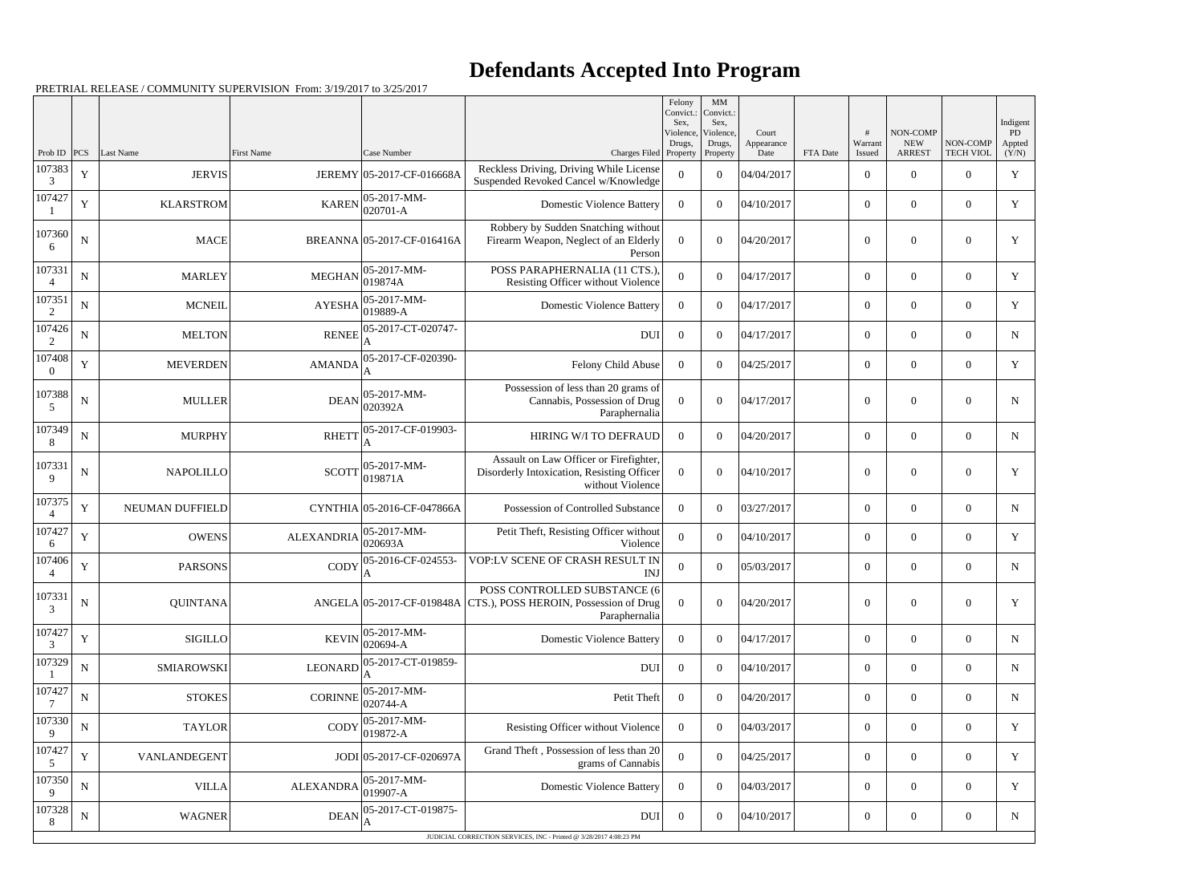## **Defendants Accepted Into Program**

|                           |             |                            |                   |                                          |                                                                                                                    | Felony<br>Convict.:<br>Sex. | MM<br>Convict.:<br>Sex, |                     |          |                          |                           |                              | Indigent             |
|---------------------------|-------------|----------------------------|-------------------|------------------------------------------|--------------------------------------------------------------------------------------------------------------------|-----------------------------|-------------------------|---------------------|----------|--------------------------|---------------------------|------------------------------|----------------------|
|                           |             |                            |                   |                                          |                                                                                                                    | Violence,<br>Drugs,         | Violence,<br>Drugs,     | Court<br>Appearance |          | Warrant                  | NON-COMP<br><b>NEW</b>    | NON-COMP                     | PD<br>Appted         |
| Prob ID $ PCS $<br>107383 | $\mathbf Y$ | Last Name<br><b>JERVIS</b> | First Name        | Case Number<br>JEREMY 05-2017-CF-016668A | Charges Filed Property<br>Reckless Driving, Driving While License                                                  | $\theta$                    | Property<br>$\Omega$    | Date<br>04/04/2017  | FTA Date | Issued<br>$\overline{0}$ | <b>ARREST</b><br>$\theta$ | <b>TECH VIOL</b><br>$\theta$ | (Y/N)<br>$\mathbf Y$ |
| 3<br>107427               |             |                            |                   | 05-2017-MM-                              | Suspended Revoked Cancel w/Knowledge                                                                               |                             |                         |                     |          |                          |                           |                              |                      |
|                           | $\mathbf Y$ | <b>KLARSTROM</b>           | <b>KAREN</b>      | 020701-A                                 | <b>Domestic Violence Battery</b>                                                                                   | $\overline{0}$              | $\Omega$                | 04/10/2017          |          | $\overline{0}$           | $\theta$                  | $\overline{0}$               | Y                    |
| 107360<br>6               | ${\bf N}$   | <b>MACE</b>                |                   | BREANNA 05-2017-CF-016416A               | Robbery by Sudden Snatching without<br>Firearm Weapon, Neglect of an Elderly<br>Person                             | $\boldsymbol{0}$            | $\theta$                | 04/20/2017          |          | $\overline{0}$           | $\theta$                  | $\overline{0}$               | Y                    |
| 107331                    | ${\bf N}$   | <b>MARLEY</b>              | <b>MEGHAN</b>     | 05-2017-MM-<br>019874A                   | POSS PARAPHERNALIA (11 CTS.),<br>Resisting Officer without Violence                                                | $\overline{0}$              | $\Omega$                | 04/17/2017          |          | $\overline{0}$           | $\overline{0}$            | $\overline{0}$               | $\mathbf Y$          |
| 107351<br>2               | ${\bf N}$   | <b>MCNEIL</b>              | <b>AYESHA</b>     | 05-2017-MM-<br>019889-A                  | <b>Domestic Violence Battery</b>                                                                                   | $\overline{0}$              | $\theta$                | 04/17/2017          |          | $\overline{0}$           | $\overline{0}$            | $\overline{0}$               | Y                    |
| 107426<br>2               | ${\bf N}$   | <b>MELTON</b>              | <b>RENEE</b>      | 05-2017-CT-020747-                       | <b>DUI</b>                                                                                                         | $\overline{0}$              | $\Omega$                | 04/17/2017          |          | $\overline{0}$           | $\overline{0}$            | $\overline{0}$               | $\mathbf N$          |
| 107408<br>$\Omega$        | Y           | <b>MEVERDEN</b>            | <b>AMANDA</b>     | 05-2017-CF-020390-                       | Felony Child Abuse                                                                                                 | $\overline{0}$              | $\theta$                | 04/25/2017          |          | $\overline{0}$           | $\overline{0}$            | $\overline{0}$               | Y                    |
| 107388<br>5               | ${\bf N}$   | <b>MULLER</b>              | <b>DEAN</b>       | 05-2017-MM-<br>020392A                   | Possession of less than 20 grams of<br>Cannabis, Possession of Drug<br>Paraphernalia                               | $\overline{0}$              | $\theta$                | 04/17/2017          |          | $\overline{0}$           | $\overline{0}$            | $\overline{0}$               | $\mathbf N$          |
| 107349<br>8               | ${\bf N}$   | <b>MURPHY</b>              | <b>RHETT</b>      | 05-2017-CF-019903-                       | HIRING W/I TO DEFRAUD                                                                                              | $\Omega$                    | $\theta$                | 04/20/2017          |          | $\overline{0}$           | $\overline{0}$            | $\overline{0}$               | $\mathbf N$          |
| 107331<br>9               | ${\bf N}$   | <b>NAPOLILLO</b>           | <b>SCOTT</b>      | 05-2017-MM-<br>019871A                   | Assault on Law Officer or Firefighter,<br>Disorderly Intoxication, Resisting Officer<br>without Violence           | $\overline{0}$              | $\theta$                | 04/10/2017          |          | $\overline{0}$           | $\overline{0}$            | $\overline{0}$               | Y                    |
| 107375<br>4               | $\mathbf Y$ | NEUMAN DUFFIELD            |                   | CYNTHIA 05-2016-CF-047866A               | Possession of Controlled Substance                                                                                 | $\overline{0}$              | $\theta$                | 03/27/2017          |          | $\overline{0}$           | $\overline{0}$            | $\overline{0}$               | ${\bf N}$            |
| 107427<br>6               | $\mathbf Y$ | <b>OWENS</b>               | <b>ALEXANDRIA</b> | 05-2017-MM-<br>020693A                   | Petit Theft, Resisting Officer without<br>Violence                                                                 | $\overline{0}$              | $\mathbf{0}$            | 04/10/2017          |          | $\overline{0}$           | $\overline{0}$            | $\overline{0}$               | Y                    |
| 107406<br>4               | $\mathbf Y$ | <b>PARSONS</b>             | <b>CODY</b>       | 05-2016-CF-024553-                       | VOP:LV SCENE OF CRASH RESULT IN<br><b>INJ</b>                                                                      | $\overline{0}$              | $\Omega$                | 05/03/2017          |          | $\boldsymbol{0}$         | $\boldsymbol{0}$          | $\overline{0}$               | N                    |
| 107331<br>3               | ${\bf N}$   | QUINTANA                   |                   |                                          | POSS CONTROLLED SUBSTANCE (6)<br>ANGELA 05-2017-CF-019848A CTS.), POSS HEROIN, Possession of Drug<br>Paraphernalia | $\overline{0}$              | $\overline{0}$          | 04/20/2017          |          | $\boldsymbol{0}$         | $\boldsymbol{0}$          | $\mathbf{0}$                 | Y                    |
| 107427<br>3               | $\mathbf Y$ | <b>SIGILLO</b>             | <b>KEVIN</b>      | 05-2017-MM-<br>020694-A                  | <b>Domestic Violence Battery</b>                                                                                   | $\overline{0}$              | $\boldsymbol{0}$        | 04/17/2017          |          | $\overline{0}$           | $\overline{0}$            | $\overline{0}$               | $\mathbf N$          |
| 107329                    | $\mathbf N$ | <b>SMIAROWSKI</b>          | <b>LEONARD</b>    | 05-2017-CT-019859-                       | DUI                                                                                                                | $\overline{0}$              | $\overline{0}$          | 04/10/2017          |          | $\overline{0}$           | $\overline{0}$            | $\overline{0}$               | $\mathbf N$          |
| 107427                    | ${\bf N}$   | <b>STOKES</b>              | <b>CORINNE</b>    | 05-2017-MM-<br>020744-A                  | Petit Theft                                                                                                        | $\overline{0}$              | $\theta$                | 04/20/2017          |          | $\overline{0}$           | $\overline{0}$            | $\overline{0}$               | $\mathbf N$          |
| 107330<br>9               | ${\bf N}$   | <b>TAYLOR</b>              | CODY              | 05-2017-MM-<br>019872-A                  | Resisting Officer without Violence                                                                                 | $\overline{0}$              | $\mathbf{0}$            | 04/03/2017          |          | $\overline{0}$           | $\overline{0}$            | $\overline{0}$               | Y                    |
| 107427<br>5               | $\mathbf Y$ | VANLANDEGENT               |                   | JODI 05-2017-CF-020697A                  | Grand Theft, Possession of less than 20<br>grams of Cannabis                                                       | $\boldsymbol{0}$            | $\overline{0}$          | 04/25/2017          |          | $\overline{0}$           | $\overline{0}$            | $\overline{0}$               | Y                    |
| 107350<br>9               | $\mathbf N$ | <b>VILLA</b>               | <b>ALEXANDRA</b>  | 05-2017-MM-<br>019907-A                  | <b>Domestic Violence Battery</b>                                                                                   | $\overline{0}$              | $\overline{0}$          | 04/03/2017          |          | $\overline{0}$           | $\overline{0}$            | $\overline{0}$               | Y                    |
| 107328<br>8               | $\mathbf N$ | <b>WAGNER</b>              | <b>DEAN</b>       | 05-2017-CT-019875-                       | <b>DUI</b>                                                                                                         | $\overline{0}$              | $\mathbf{0}$            | 04/10/2017          |          | $\overline{0}$           | $\overline{0}$            | $\mathbf{0}$                 | $\mathbf N$          |
|                           |             |                            |                   |                                          | JUDICIAL CORRECTION SERVICES, INC - Printed @ 3/28/2017 4:08:23 PM                                                 |                             |                         |                     |          |                          |                           |                              |                      |